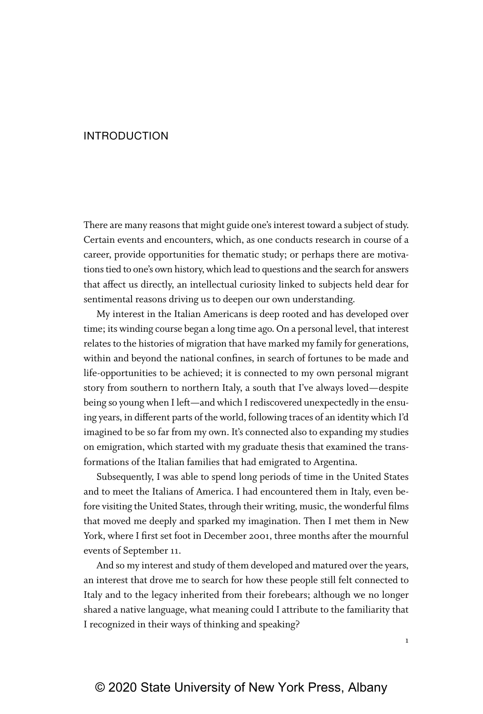### INTRODUCTION

There are many reasons that might guide one's interest toward a subject of study. Certain events and encounters, which, as one conducts research in course of a career, provide opportunities for thematic study; or perhaps there are motivations tied to one's own history, which lead to questions and the search for answers that affect us directly, an intellectual curiosity linked to subjects held dear for sentimental reasons driving us to deepen our own understanding.

My interest in the Italian Americans is deep rooted and has developed over time; its winding course began a long time ago. On a personal level, that interest relates to the histories of migration that have marked my family for generations, within and beyond the national confines, in search of fortunes to be made and life-opportunities to be achieved; it is connected to my own personal migrant story from southern to northern Italy, a south that I've always loved—despite being so young when I left—and which I rediscovered unexpectedly in the ensuing years, in different parts of the world, following traces of an identity which I'd imagined to be so far from my own. It's connected also to expanding my studies on emigration, which started with my graduate thesis that examined the transformations of the Italian families that had emigrated to Argentina.

Subsequently, I was able to spend long periods of time in the United States and to meet the Italians of America. I had encountered them in Italy, even before visiting the United States, through their writing, music, the wonderful films that moved me deeply and sparked my imagination. Then I met them in New York, where I first set foot in December 2001, three months after the mournful events of September 11.

And so my interest and study of them developed and matured over the years, an interest that drove me to search for how these people still felt connected to Italy and to the legacy inherited from their forebears; although we no longer shared a native language, what meaning could I attribute to the familiarity that I recognized in their ways of thinking and speaking?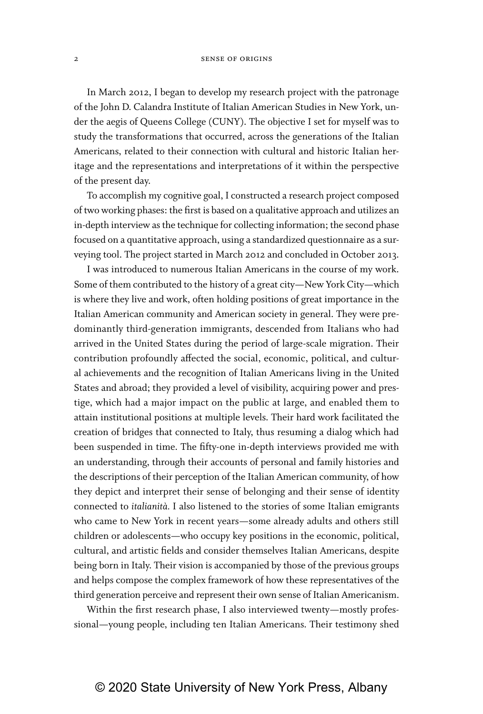In March 2012, I began to develop my research project with the patronage of the John D. Calandra Institute of Italian American Studies in New York, under the aegis of Queens College (CUNY). The objective I set for myself was to study the transformations that occurred, across the generations of the Italian Americans, related to their connection with cultural and historic Italian heritage and the representations and interpretations of it within the perspective of the present day.

To accomplish my cognitive goal, I constructed a research project composed of two working phases: the first is based on a qualitative approach and utilizes an in-depth interview as the technique for collecting information; the second phase focused on a quantitative approach, using a standardized questionnaire as a surveying tool. The project started in March 2012 and concluded in October 2013.

I was introduced to numerous Italian Americans in the course of my work. Some of them contributed to the history of a great city—New York City—which is where they live and work, often holding positions of great importance in the Italian American community and American society in general. They were predominantly third-generation immigrants, descended from Italians who had arrived in the United States during the period of large-scale migration. Their contribution profoundly affected the social, economic, political, and cultural achievements and the recognition of Italian Americans living in the United States and abroad; they provided a level of visibility, acquiring power and prestige, which had a major impact on the public at large, and enabled them to attain institutional positions at multiple levels. Their hard work facilitated the creation of bridges that connected to Italy, thus resuming a dialog which had been suspended in time. The fifty-one in-depth interviews provided me with an understanding, through their accounts of personal and family histories and the descriptions of their perception of the Italian American community, of how they depict and interpret their sense of belonging and their sense of identity connected to *italianità.* I also listened to the stories of some Italian emigrants who came to New York in recent years—some already adults and others still children or adolescents—who occupy key positions in the economic, political, cultural, and artistic fields and consider themselves Italian Americans, despite being born in Italy. Their vision is accompanied by those of the previous groups and helps compose the complex framework of how these representatives of the third generation perceive and represent their own sense of Italian Americanism.

Within the first research phase, I also interviewed twenty—mostly professional—young people, including ten Italian Americans. Their testimony shed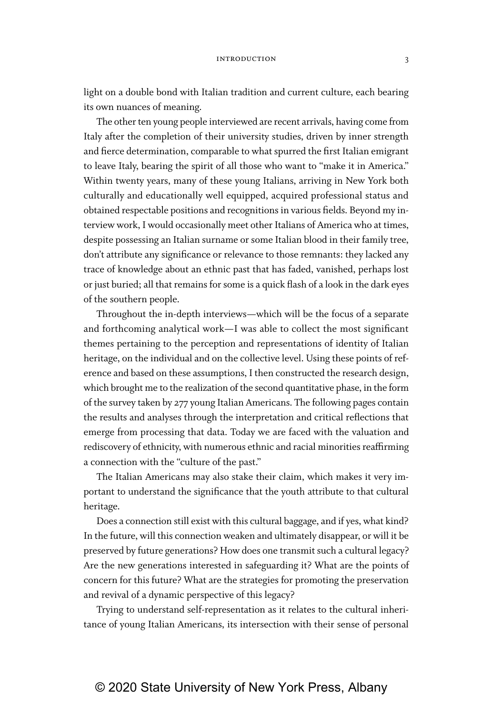light on a double bond with Italian tradition and current culture, each bearing its own nuances of meaning.

The other ten young people interviewed are recent arrivals, having come from Italy after the completion of their university studies, driven by inner strength and fierce determination, comparable to what spurred the first Italian emigrant to leave Italy, bearing the spirit of all those who want to "make it in America." Within twenty years, many of these young Italians, arriving in New York both culturally and educationally well equipped, acquired professional status and obtained respectable positions and recognitions in various fields. Beyond my interview work, I would occasionally meet other Italians of America who at times, despite possessing an Italian surname or some Italian blood in their family tree, don't attribute any significance or relevance to those remnants: they lacked any trace of knowledge about an ethnic past that has faded, vanished, perhaps lost or just buried; all that remains for some is a quick flash of a look in the dark eyes of the southern people.

Throughout the in-depth interviews—which will be the focus of a separate and forthcoming analytical work—I was able to collect the most significant themes pertaining to the perception and representations of identity of Italian heritage, on the individual and on the collective level. Using these points of reference and based on these assumptions, I then constructed the research design, which brought me to the realization of the second quantitative phase, in the form of the survey taken by 277 young Italian Americans. The following pages contain the results and analyses through the interpretation and critical reflections that emerge from processing that data. Today we are faced with the valuation and rediscovery of ethnicity, with numerous ethnic and racial minorities reaffirming a connection with the "culture of the past."

The Italian Americans may also stake their claim, which makes it very important to understand the significance that the youth attribute to that cultural heritage.

Does a connection still exist with this cultural baggage, and if yes, what kind? In the future, will this connection weaken and ultimately disappear, or will it be preserved by future generations? How does one transmit such a cultural legacy? Are the new generations interested in safeguarding it? What are the points of concern for this future? What are the strategies for promoting the preservation and revival of a dynamic perspective of this legacy?

Trying to understand self-representation as it relates to the cultural inheritance of young Italian Americans, its intersection with their sense of personal

## © 2020 State University of New York Press, Albany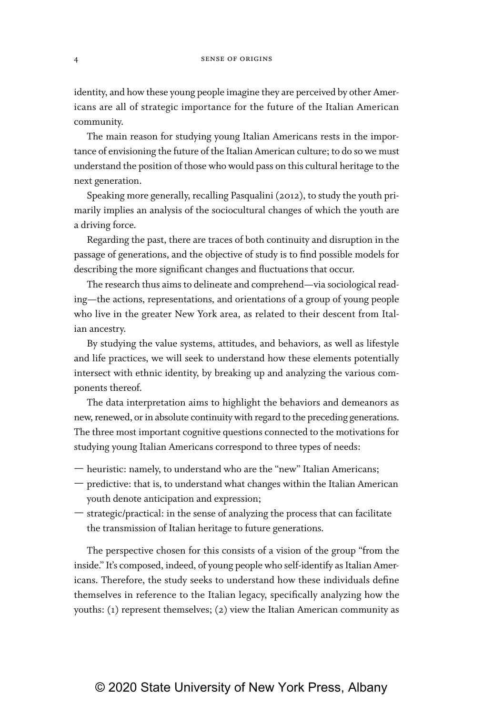identity, and how these young people imagine they are perceived by other Americans are all of strategic importance for the future of the Italian American community.

The main reason for studying young Italian Americans rests in the importance of envisioning the future of the Italian American culture; to do so we must understand the position of those who would pass on this cultural heritage to the next generation.

Speaking more generally, recalling Pasqualini (2012), to study the youth primarily implies an analysis of the sociocultural changes of which the youth are a driving force.

Regarding the past, there are traces of both continuity and disruption in the passage of generations, and the objective of study is to find possible models for describing the more significant changes and fluctuations that occur.

The research thus aims to delineate and comprehend—via sociological reading—the actions, representations, and orientations of a group of young people who live in the greater New York area, as related to their descent from Italian ancestry.

By studying the value systems, attitudes, and behaviors, as well as lifestyle and life practices, we will seek to understand how these elements potentially intersect with ethnic identity, by breaking up and analyzing the various components thereof.

The data interpretation aims to highlight the behaviors and demeanors as new, renewed, or in absolute continuity with regard to the preceding generations. The three most important cognitive questions connected to the motivations for studying young Italian Americans correspond to three types of needs:

- heuristic: namely, to understand who are the "new" Italian Americans;
- predictive: that is, to understand what changes within the Italian American youth denote anticipation and expression;
- strategic/practical: in the sense of analyzing the process that can facilitate the transmission of Italian heritage to future generations.

The perspective chosen for this consists of a vision of the group "from the inside." It's composed, indeed, of young people who self-identify as Italian Americans. Therefore, the study seeks to understand how these individuals define themselves in reference to the Italian legacy, specifically analyzing how the youths: (1) represent themselves; (2) view the Italian American community as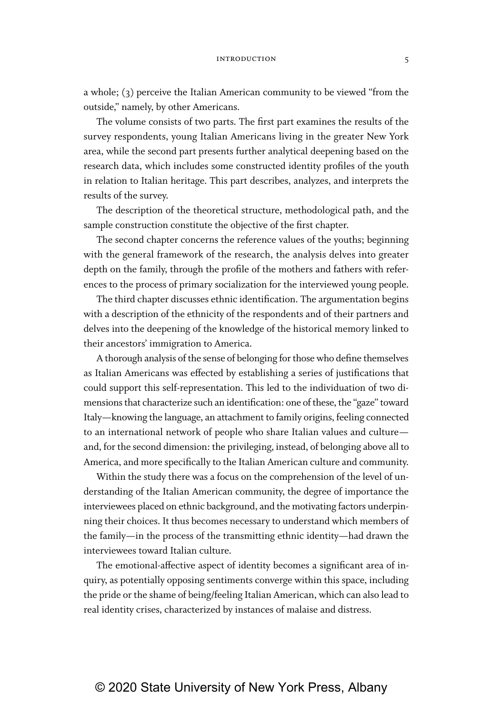### INTRODUCTION 5

a whole; (3) perceive the Italian American community to be viewed "from the outside," namely, by other Americans.

The volume consists of two parts. The first part examines the results of the survey respondents, young Italian Americans living in the greater New York area, while the second part presents further analytical deepening based on the research data, which includes some constructed identity profiles of the youth in relation to Italian heritage. This part describes, analyzes, and interprets the results of the survey.

The description of the theoretical structure, methodological path, and the sample construction constitute the objective of the first chapter.

The second chapter concerns the reference values of the youths; beginning with the general framework of the research, the analysis delves into greater depth on the family, through the profile of the mothers and fathers with references to the process of primary socialization for the interviewed young people.

The third chapter discusses ethnic identification. The argumentation begins with a description of the ethnicity of the respondents and of their partners and delves into the deepening of the knowledge of the historical memory linked to their ancestors' immigration to America.

A thorough analysis of the sense of belonging for those who define themselves as Italian Americans was effected by establishing a series of justifications that could support this self-representation. This led to the individuation of two dimensions that characterize such an identification: one of these, the "gaze" toward Italy—knowing the language, an attachment to family origins, feeling connected to an international network of people who share Italian values and culture and, for the second dimension: the privileging, instead, of belonging above all to America, and more specifically to the Italian American culture and community.

Within the study there was a focus on the comprehension of the level of understanding of the Italian American community, the degree of importance the interviewees placed on ethnic background, and the motivating factors underpinning their choices. It thus becomes necessary to understand which members of the family—in the process of the transmitting ethnic identity—had drawn the interviewees toward Italian culture.

The emotional-affective aspect of identity becomes a significant area of inquiry, as potentially opposing sentiments converge within this space, including the pride or the shame of being/feeling Italian American, which can also lead to real identity crises, characterized by instances of malaise and distress.

# © 2020 State University of New York Press, Albany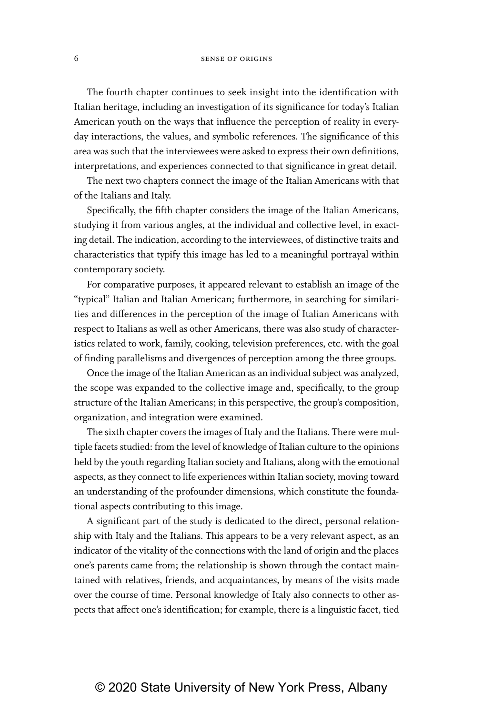### 6 SENSE OF ORIGINS

The fourth chapter continues to seek insight into the identification with Italian heritage, including an investigation of its significance for today's Italian American youth on the ways that influence the perception of reality in everyday interactions, the values, and symbolic references. The significance of this area was such that the interviewees were asked to express their own definitions, interpretations, and experiences connected to that significance in great detail.

The next two chapters connect the image of the Italian Americans with that of the Italians and Italy.

Specifically, the fifth chapter considers the image of the Italian Americans, studying it from various angles, at the individual and collective level, in exacting detail. The indication, according to the interviewees, of distinctive traits and characteristics that typify this image has led to a meaningful portrayal within contemporary society.

For comparative purposes, it appeared relevant to establish an image of the "typical" Italian and Italian American; furthermore, in searching for similarities and differences in the perception of the image of Italian Americans with respect to Italians as well as other Americans, there was also study of characteristics related to work, family, cooking, television preferences, etc. with the goal of finding parallelisms and divergences of perception among the three groups.

Once the image of the Italian American as an individual subject was analyzed, the scope was expanded to the collective image and, specifically, to the group structure of the Italian Americans; in this perspective, the group's composition, organization, and integration were examined.

The sixth chapter covers the images of Italy and the Italians. There were multiple facets studied: from the level of knowledge of Italian culture to the opinions held by the youth regarding Italian society and Italians, along with the emotional aspects, as they connect to life experiences within Italian society, moving toward an understanding of the profounder dimensions, which constitute the foundational aspects contributing to this image.

A significant part of the study is dedicated to the direct, personal relationship with Italy and the Italians. This appears to be a very relevant aspect, as an indicator of the vitality of the connections with the land of origin and the places one's parents came from; the relationship is shown through the contact maintained with relatives, friends, and acquaintances, by means of the visits made over the course of time. Personal knowledge of Italy also connects to other aspects that affect one's identification; for example, there is a linguistic facet, tied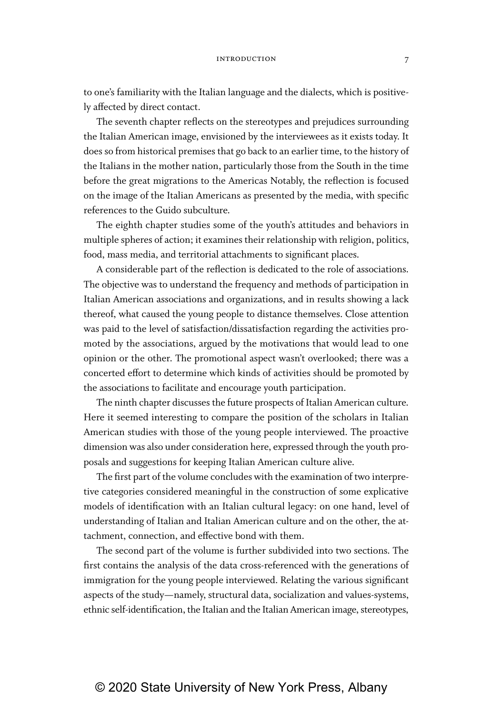### INTRODUCTION 7

to one's familiarity with the Italian language and the dialects, which is positively affected by direct contact.

The seventh chapter reflects on the stereotypes and prejudices surrounding the Italian American image, envisioned by the interviewees as it exists today. It does so from historical premises that go back to an earlier time, to the history of the Italians in the mother nation, particularly those from the South in the time before the great migrations to the Americas Notably, the reflection is focused on the image of the Italian Americans as presented by the media, with specific references to the Guido subculture.

The eighth chapter studies some of the youth's attitudes and behaviors in multiple spheres of action; it examines their relationship with religion, politics, food, mass media, and territorial attachments to significant places.

A considerable part of the reflection is dedicated to the role of associations. The objective was to understand the frequency and methods of participation in Italian American associations and organizations, and in results showing a lack thereof, what caused the young people to distance themselves. Close attention was paid to the level of satisfaction/dissatisfaction regarding the activities promoted by the associations, argued by the motivations that would lead to one opinion or the other. The promotional aspect wasn't overlooked; there was a concerted effort to determine which kinds of activities should be promoted by the associations to facilitate and encourage youth participation.

The ninth chapter discusses the future prospects of Italian American culture. Here it seemed interesting to compare the position of the scholars in Italian American studies with those of the young people interviewed. The proactive dimension was also under consideration here, expressed through the youth proposals and suggestions for keeping Italian American culture alive.

The first part of the volume concludes with the examination of two interpretive categories considered meaningful in the construction of some explicative models of identification with an Italian cultural legacy: on one hand, level of understanding of Italian and Italian American culture and on the other, the attachment, connection, and effective bond with them.

The second part of the volume is further subdivided into two sections. The first contains the analysis of the data cross-referenced with the generations of immigration for the young people interviewed. Relating the various significant aspects of the study—namely, structural data, socialization and values-systems, ethnic self-identification, the Italian and the Italian American image, stereotypes,